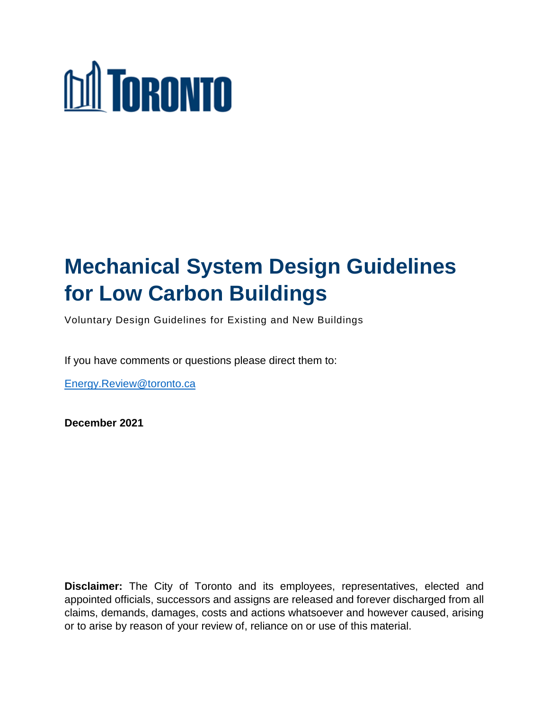# **M** TORONTO

## **Mechanical System Design Guidelines for Low Carbon Buildings**

Voluntary Design Guidelines for Existing and New Buildings

If you have comments or questions please direct them to:

[Energy.Review@toronto.ca](mailto:Energy.Review@toronto.ca)

**December 2021**

**Disclaimer:** The City of Toronto and its employees, representatives, elected and appointed officials, successors and assigns are released and forever discharged from all claims, demands, damages, costs and actions whatsoever and however caused, arising or to arise by reason of your review of, reliance on or use of this material.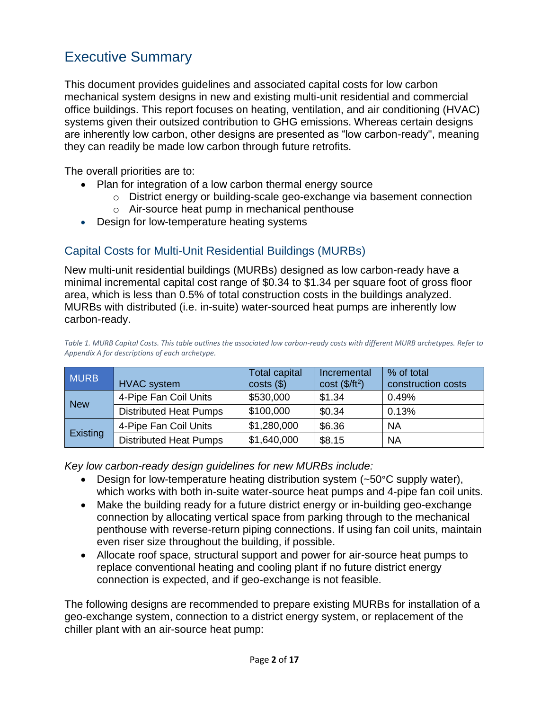## <span id="page-1-0"></span>Executive Summary

This document provides guidelines and associated capital costs for low carbon mechanical system designs in new and existing multi-unit residential and commercial office buildings. This report focuses on heating, ventilation, and air conditioning (HVAC) systems given their outsized contribution to GHG emissions. Whereas certain designs are inherently low carbon, other designs are presented as "low carbon-ready", meaning they can readily be made low carbon through future retrofits.

The overall priorities are to:

- Plan for integration of a low carbon thermal energy source
	- o District energy or building-scale geo-exchange via basement connection
	- o Air-source heat pump in mechanical penthouse
- <span id="page-1-1"></span>Design for low-temperature heating systems

#### Capital Costs for Multi-Unit Residential Buildings (MURBs)

New multi-unit residential buildings (MURBs) designed as low carbon-ready have a minimal incremental capital cost range of \$0.34 to \$1.34 per square foot of gross floor area, which is less than 0.5% of total construction costs in the buildings analyzed. MURBs with distributed (i.e. in-suite) water-sourced heat pumps are inherently low carbon-ready.

| Table 1. MURB Capital Costs. This table outlines the associated low carbon-ready costs with different MURB archetypes. Refer to |
|---------------------------------------------------------------------------------------------------------------------------------|
| Appendix A for descriptions of each archetype.                                                                                  |

| <b>MURB</b>     | <b>HVAC</b> system            | <b>Total capital</b><br>$costs(\$))$ | Incremental<br>$cost$ (\$/ft <sup>2</sup> ) | % of total<br>construction costs |
|-----------------|-------------------------------|--------------------------------------|---------------------------------------------|----------------------------------|
| <b>New</b>      | 4-Pipe Fan Coil Units         | \$530,000                            | \$1.34                                      | 0.49%                            |
|                 | <b>Distributed Heat Pumps</b> | \$100,000                            | \$0.34                                      | 0.13%                            |
| <b>Existing</b> | 4-Pipe Fan Coil Units         | \$1,280,000                          | \$6.36                                      | <b>NA</b>                        |
|                 | <b>Distributed Heat Pumps</b> | \$1,640,000                          | \$8.15                                      | <b>NA</b>                        |

*Key low carbon-ready design guidelines for new MURBs include:* 

- Design for low-temperature heating distribution system (~50°C supply water), which works with both in-suite water-source heat pumps and 4-pipe fan coil units.
- Make the building ready for a future district energy or in-building geo-exchange connection by allocating vertical space from parking through to the mechanical penthouse with reverse-return piping connections. If using fan coil units, maintain even riser size throughout the building, if possible.
- Allocate roof space, structural support and power for air-source heat pumps to replace conventional heating and cooling plant if no future district energy connection is expected, and if geo-exchange is not feasible.

The following designs are recommended to prepare existing MURBs for installation of a geo-exchange system, connection to a district energy system, or replacement of the chiller plant with an air-source heat pump: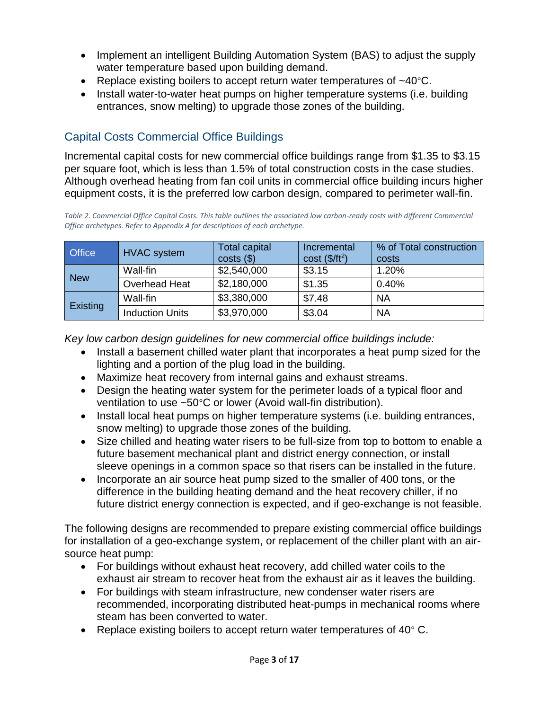- Implement an intelligent Building Automation System (BAS) to adjust the supply water temperature based upon building demand.
- Replace existing boilers to accept return water temperatures of  $~40^{\circ}$ C.
- Install water-to-water heat pumps on higher temperature systems (i.e. building entrances, snow melting) to upgrade those zones of the building.

## <span id="page-2-0"></span>Capital Costs Commercial Office Buildings

Incremental capital costs for new commercial office buildings range from \$1.35 to \$3.15 per square foot, which is less than 1.5% of total construction costs in the case studies. Although overhead heating from fan coil units in commercial office building incurs higher equipment costs, it is the preferred low carbon design, compared to perimeter wall-fin.

*Table 2. Commercial Office Capital Costs. This table outlines the associated low carbon-ready costs with different Commercial Office archetypes. Refer to Appendix A for descriptions of each archetype.*

| <b>Office</b>   | <b>HVAC</b> system     | <b>Total capital</b><br>costs( | Incremental<br>$cost$ (\$/ft <sup>2</sup> ) | % of Total construction<br>costs |
|-----------------|------------------------|--------------------------------|---------------------------------------------|----------------------------------|
| <b>New</b>      | Wall-fin               | \$2,540,000                    | \$3.15                                      | 1.20%                            |
|                 | Overhead Heat          | \$2,180,000                    | \$1.35                                      | 0.40%                            |
| <b>Existing</b> | Wall-fin               | \$3,380,000                    | \$7.48                                      | <b>NA</b>                        |
|                 | <b>Induction Units</b> | \$3,970,000                    | \$3.04                                      | <b>NA</b>                        |

*Key low carbon design guidelines for new commercial office buildings include:* 

- Install a basement chilled water plant that incorporates a heat pump sized for the lighting and a portion of the plug load in the building.
- Maximize heat recovery from internal gains and exhaust streams.
- Design the heating water system for the perimeter loads of a typical floor and ventilation to use ~50°C or lower (Avoid wall-fin distribution).
- Install local heat pumps on higher temperature systems (i.e. building entrances, snow melting) to upgrade those zones of the building.
- Size chilled and heating water risers to be full-size from top to bottom to enable a future basement mechanical plant and district energy connection, or install sleeve openings in a common space so that risers can be installed in the future.
- Incorporate an air source heat pump sized to the smaller of 400 tons, or the difference in the building heating demand and the heat recovery chiller, if no future district energy connection is expected, and if geo-exchange is not feasible.

The following designs are recommended to prepare existing commercial office buildings for installation of a geo-exchange system, or replacement of the chiller plant with an airsource heat pump:

- For buildings without exhaust heat recovery, add chilled water coils to the exhaust air stream to recover heat from the exhaust air as it leaves the building.
- For buildings with steam infrastructure, new condenser water risers are recommended, incorporating distributed heat-pumps in mechanical rooms where steam has been converted to water.
- Replace existing boilers to accept return water temperatures of 40° C.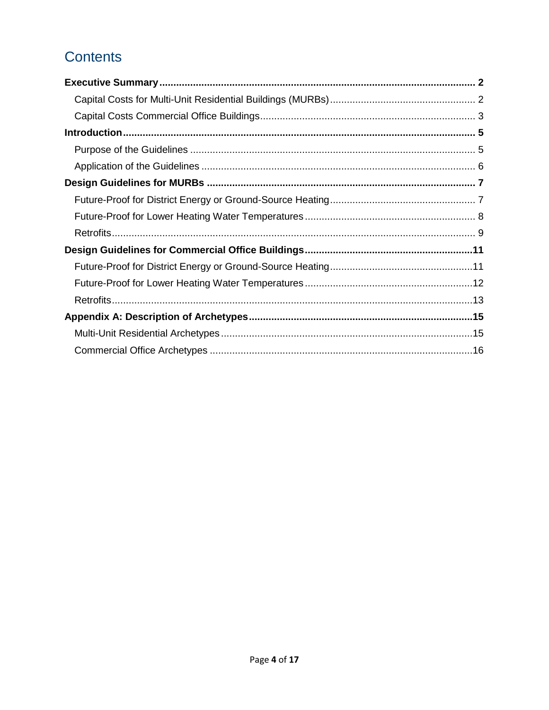## **Contents**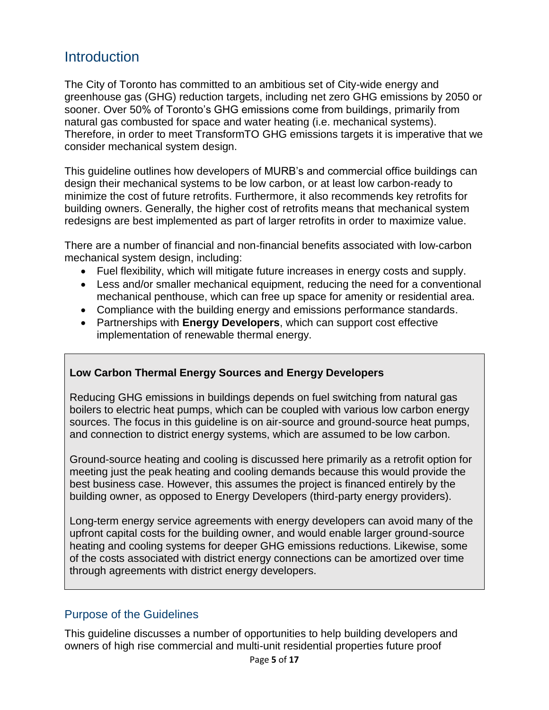## <span id="page-4-0"></span>**Introduction**

The City of Toronto has committed to an ambitious set of City-wide energy and greenhouse gas (GHG) reduction targets, including net zero GHG emissions by 2050 or sooner. Over 50% of Toronto's GHG emissions come from buildings, primarily from natural gas combusted for space and water heating (i.e. mechanical systems). Therefore, in order to meet TransformTO GHG emissions targets it is imperative that we consider mechanical system design.

This guideline outlines how developers of MURB's and commercial office buildings can design their mechanical systems to be low carbon, or at least low carbon-ready to minimize the cost of future retrofits. Furthermore, it also recommends key retrofits for building owners. Generally, the higher cost of retrofits means that mechanical system redesigns are best implemented as part of larger retrofits in order to maximize value.

There are a number of financial and non-financial benefits associated with low-carbon mechanical system design, including:

- Fuel flexibility, which will mitigate future increases in energy costs and supply.
- Less and/or smaller mechanical equipment, reducing the need for a conventional mechanical penthouse, which can free up space for amenity or residential area.
- Compliance with the building energy and emissions performance standards.
- Partnerships with **Energy Developers**, which can support cost effective implementation of renewable thermal energy.

#### **Low Carbon Thermal Energy Sources and Energy Developers**

Reducing GHG emissions in buildings depends on fuel switching from natural gas boilers to electric heat pumps, which can be coupled with various low carbon energy sources. The focus in this guideline is on air-source and ground-source heat pumps, and connection to district energy systems, which are assumed to be low carbon.

Ground-source heating and cooling is discussed here primarily as a retrofit option for meeting just the peak heating and cooling demands because this would provide the best business case. However, this assumes the project is financed entirely by the building owner, as opposed to Energy Developers (third-party energy providers).

Long-term energy service agreements with energy developers can avoid many of the upfront capital costs for the building owner, and would enable larger ground-source heating and cooling systems for deeper GHG emissions reductions. Likewise, some of the costs associated with district energy connections can be amortized over time through agreements with district energy developers.

#### <span id="page-4-1"></span>Purpose of the Guidelines

This guideline discusses a number of opportunities to help building developers and owners of high rise commercial and multi-unit residential properties future proof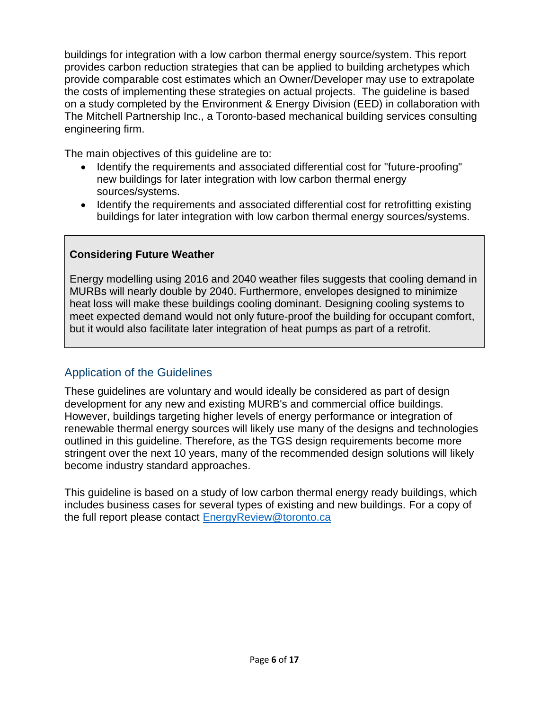buildings for integration with a low carbon thermal energy source/system. This report provides carbon reduction strategies that can be applied to building archetypes which provide comparable cost estimates which an Owner/Developer may use to extrapolate the costs of implementing these strategies on actual projects. The guideline is based on a study completed by the Environment & Energy Division (EED) in collaboration with The Mitchell Partnership Inc., a Toronto-based mechanical building services consulting engineering firm.

The main objectives of this guideline are to:

- Identify the requirements and associated differential cost for "future-proofing" new buildings for later integration with low carbon thermal energy sources/systems.
- Identify the requirements and associated differential cost for retrofitting existing buildings for later integration with low carbon thermal energy sources/systems.

#### **Considering Future Weather**

Energy modelling using 2016 and 2040 weather files suggests that cooling demand in MURBs will nearly double by 2040. Furthermore, envelopes designed to minimize heat loss will make these buildings cooling dominant. Designing cooling systems to meet expected demand would not only future-proof the building for occupant comfort, but it would also facilitate later integration of heat pumps as part of a retrofit.

#### <span id="page-5-0"></span>Application of the Guidelines

These guidelines are voluntary and would ideally be considered as part of design development for any new and existing MURB's and commercial office buildings. However, buildings targeting higher levels of energy performance or integration of renewable thermal energy sources will likely use many of the designs and technologies outlined in this guideline. Therefore, as the TGS design requirements become more stringent over the next 10 years, many of the recommended design solutions will likely become industry standard approaches.

This guideline is based on a study of low carbon thermal energy ready buildings, which includes business cases for several types of existing and new buildings. For a copy of the full report please contact [EnergyReview@toronto.ca](mailto:EnergyReview@toronto.ca)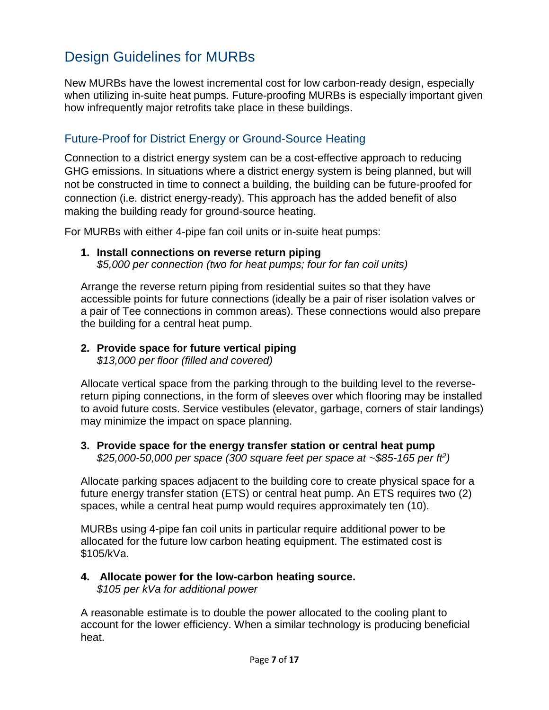## <span id="page-6-0"></span>Design Guidelines for MURBs

New MURBs have the lowest incremental cost for low carbon-ready design, especially when utilizing in-suite heat pumps. Future-proofing MURBs is especially important given how infrequently major retrofits take place in these buildings.

#### <span id="page-6-1"></span>Future-Proof for District Energy or Ground-Source Heating

Connection to a district energy system can be a cost-effective approach to reducing GHG emissions. In situations where a district energy system is being planned, but will not be constructed in time to connect a building, the building can be future-proofed for connection (i.e. district energy-ready). This approach has the added benefit of also making the building ready for ground-source heating.

For MURBs with either 4-pipe fan coil units or in-suite heat pumps:

#### **1. Install connections on reverse return piping**

*\$5,000 per connection (two for heat pumps; four for fan coil units)* 

Arrange the reverse return piping from residential suites so that they have accessible points for future connections (ideally be a pair of riser isolation valves or a pair of Tee connections in common areas). These connections would also prepare the building for a central heat pump.

## **2. Provide space for future vertical piping**

*\$13,000 per floor (filled and covered)* 

Allocate vertical space from the parking through to the building level to the reversereturn piping connections, in the form of sleeves over which flooring may be installed to avoid future costs. Service vestibules (elevator, garbage, corners of stair landings) may minimize the impact on space planning.

#### **3. Provide space for the energy transfer station or central heat pump**  *\$25,000-50,000 per space (300 square feet per space at ~\$85-165 per ft<sup>2</sup> )*

Allocate parking spaces adjacent to the building core to create physical space for a future energy transfer station (ETS) or central heat pump. An ETS requires two (2) spaces, while a central heat pump would requires approximately ten (10).

MURBs using 4-pipe fan coil units in particular require additional power to be allocated for the future low carbon heating equipment. The estimated cost is \$105/kVa.

#### **4. Allocate power for the low-carbon heating source.**

*\$105 per kVa for additional power* 

A reasonable estimate is to double the power allocated to the cooling plant to account for the lower efficiency. When a similar technology is producing beneficial heat.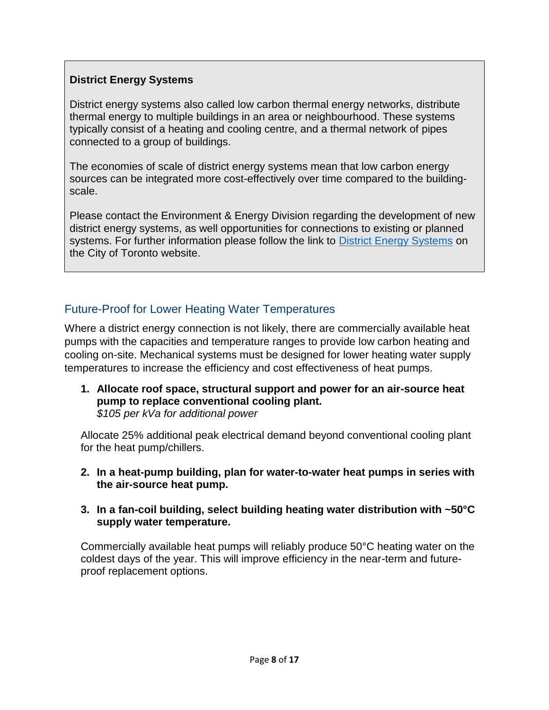#### **District Energy Systems**

District energy systems also called low carbon thermal energy networks, distribute thermal energy to multiple buildings in an area or neighbourhood. These systems typically consist of a heating and cooling centre, and a thermal network of pipes connected to a group of buildings.

The economies of scale of district energy systems mean that low carbon energy sources can be integrated more cost-effectively over time compared to the buildingscale.

Please contact the Environment & Energy Division regarding the development of new district energy systems, as well opportunities for connections to existing or planned systems. For further information please follow the link to [District Energy Systems](http://www.toronto.ca/districtenergy) on the City of Toronto website.

#### <span id="page-7-0"></span>Future-Proof for Lower Heating Water Temperatures

Where a district energy connection is not likely, there are commercially available heat pumps with the capacities and temperature ranges to provide low carbon heating and cooling on-site. Mechanical systems must be designed for lower heating water supply temperatures to increase the efficiency and cost effectiveness of heat pumps.

**1. Allocate roof space, structural support and power for an air-source heat pump to replace conventional cooling plant.**  *\$105 per kVa for additional power* 

Allocate 25% additional peak electrical demand beyond conventional cooling plant for the heat pump/chillers.

- **2. In a heat-pump building, plan for water-to-water heat pumps in series with the air-source heat pump.**
- **3. In a fan-coil building, select building heating water distribution with ~50°C supply water temperature.**

Commercially available heat pumps will reliably produce 50°C heating water on the coldest days of the year. This will improve efficiency in the near-term and futureproof replacement options.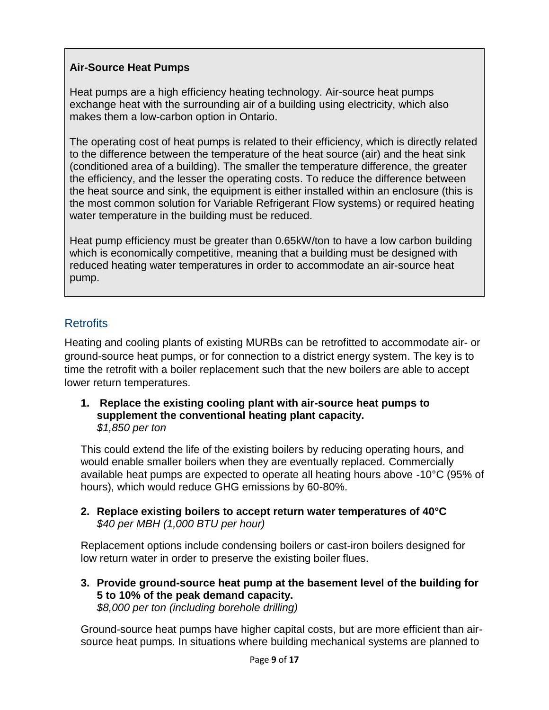#### **Air-Source Heat Pumps**

Heat pumps are a high efficiency heating technology. Air-source heat pumps exchange heat with the surrounding air of a building using electricity, which also makes them a low-carbon option in Ontario.

The operating cost of heat pumps is related to their efficiency, which is directly related to the difference between the temperature of the heat source (air) and the heat sink (conditioned area of a building). The smaller the temperature difference, the greater the efficiency, and the lesser the operating costs. To reduce the difference between the heat source and sink, the equipment is either installed within an enclosure (this is the most common solution for Variable Refrigerant Flow systems) or required heating water temperature in the building must be reduced.

Heat pump efficiency must be greater than 0.65kW/ton to have a low carbon building which is economically competitive, meaning that a building must be designed with reduced heating water temperatures in order to accommodate an air-source heat pump.

#### <span id="page-8-0"></span>**Retrofits**

Heating and cooling plants of existing MURBs can be retrofitted to accommodate air- or ground-source heat pumps, or for connection to a district energy system. The key is to time the retrofit with a boiler replacement such that the new boilers are able to accept lower return temperatures.

**1. Replace the existing cooling plant with air-source heat pumps to supplement the conventional heating plant capacity.**  *\$1,850 per ton* 

This could extend the life of the existing boilers by reducing operating hours, and would enable smaller boilers when they are eventually replaced. Commercially available heat pumps are expected to operate all heating hours above -10°C (95% of hours), which would reduce GHG emissions by 60-80%.

**2. Replace existing boilers to accept return water temperatures of 40°C** *\$40 per MBH (1,000 BTU per hour)*

Replacement options include condensing boilers or cast-iron boilers designed for low return water in order to preserve the existing boiler flues.

**3. Provide ground-source heat pump at the basement level of the building for 5 to 10% of the peak demand capacity.** *\$8,000 per ton (including borehole drilling)* 

Ground-source heat pumps have higher capital costs, but are more efficient than airsource heat pumps. In situations where building mechanical systems are planned to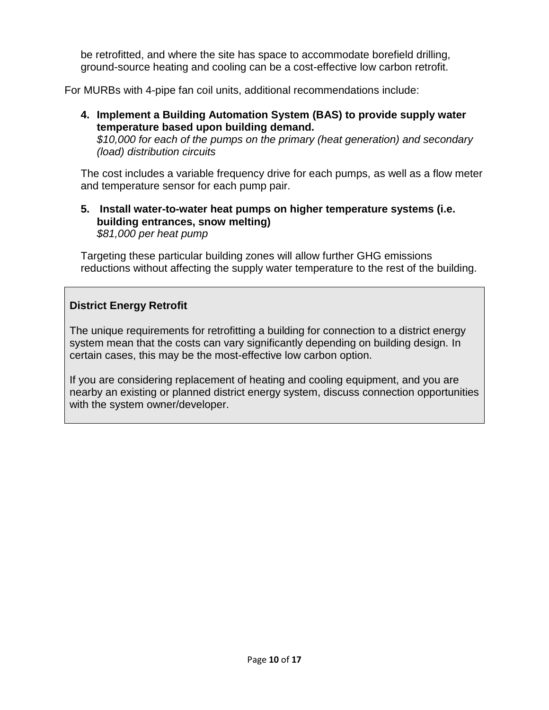be retrofitted, and where the site has space to accommodate borefield drilling, ground-source heating and cooling can be a cost-effective low carbon retrofit.

For MURBs with 4-pipe fan coil units, additional recommendations include:

#### **4. Implement a Building Automation System (BAS) to provide supply water temperature based upon building demand.**

*\$10,000 for each of the pumps on the primary (heat generation) and secondary (load) distribution circuits*

The cost includes a variable frequency drive for each pumps, as well as a flow meter and temperature sensor for each pump pair.

#### **5. Install water-to-water heat pumps on higher temperature systems (i.e. building entrances, snow melting)** *\$81,000 per heat pump*

Targeting these particular building zones will allow further GHG emissions reductions without affecting the supply water temperature to the rest of the building.

#### **District Energy Retrofit**

The unique requirements for retrofitting a building for connection to a district energy system mean that the costs can vary significantly depending on building design. In certain cases, this may be the most-effective low carbon option.

If you are considering replacement of heating and cooling equipment, and you are nearby an existing or planned district energy system, discuss connection opportunities with the system owner/developer.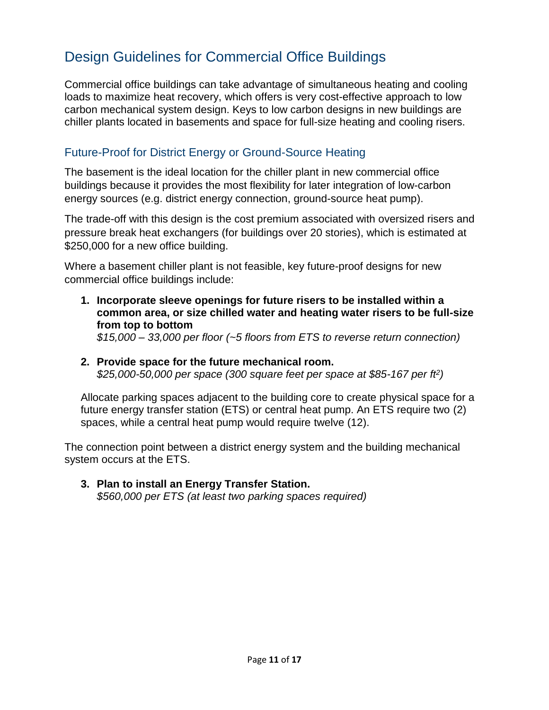## <span id="page-10-0"></span>Design Guidelines for Commercial Office Buildings

Commercial office buildings can take advantage of simultaneous heating and cooling loads to maximize heat recovery, which offers is very cost-effective approach to low carbon mechanical system design. Keys to low carbon designs in new buildings are chiller plants located in basements and space for full-size heating and cooling risers.

#### <span id="page-10-1"></span>Future-Proof for District Energy or Ground-Source Heating

The basement is the ideal location for the chiller plant in new commercial office buildings because it provides the most flexibility for later integration of low-carbon energy sources (e.g. district energy connection, ground-source heat pump).

The trade-off with this design is the cost premium associated with oversized risers and pressure break heat exchangers (for buildings over 20 stories), which is estimated at \$250,000 for a new office building.

Where a basement chiller plant is not feasible, key future-proof designs for new commercial office buildings include:

- **1. Incorporate sleeve openings for future risers to be installed within a common area, or size chilled water and heating water risers to be full-size from top to bottom**  *\$15,000 – 33,000 per floor (~5 floors from ETS to reverse return connection)*
- **2. Provide space for the future mechanical room.**  *\$25,000-50,000 per space (300 square feet per space at \$85-167 per ft<sup>2</sup> )*

Allocate parking spaces adjacent to the building core to create physical space for a future energy transfer station (ETS) or central heat pump. An ETS require two (2) spaces, while a central heat pump would require twelve (12).

The connection point between a district energy system and the building mechanical system occurs at the ETS.

**3. Plan to install an Energy Transfer Station.**  *\$560,000 per ETS (at least two parking spaces required)*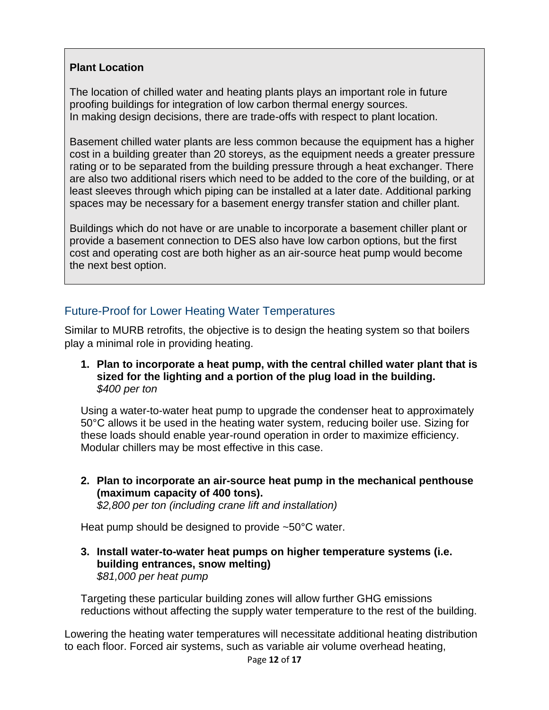#### **Plant Location**

The location of chilled water and heating plants plays an important role in future proofing buildings for integration of low carbon thermal energy sources. In making design decisions, there are trade-offs with respect to plant location.

Basement chilled water plants are less common because the equipment has a higher cost in a building greater than 20 storeys, as the equipment needs a greater pressure rating or to be separated from the building pressure through a heat exchanger. There are also two additional risers which need to be added to the core of the building, or at least sleeves through which piping can be installed at a later date. Additional parking spaces may be necessary for a basement energy transfer station and chiller plant.

Buildings which do not have or are unable to incorporate a basement chiller plant or provide a basement connection to DES also have low carbon options, but the first cost and operating cost are both higher as an air-source heat pump would become the next best option.

#### <span id="page-11-0"></span>Future-Proof for Lower Heating Water Temperatures

Similar to MURB retrofits, the objective is to design the heating system so that boilers play a minimal role in providing heating.

**1. Plan to incorporate a heat pump, with the central chilled water plant that is sized for the lighting and a portion of the plug load in the building.**  *\$400 per ton* 

Using a water-to-water heat pump to upgrade the condenser heat to approximately 50°C allows it be used in the heating water system, reducing boiler use. Sizing for these loads should enable year-round operation in order to maximize efficiency. Modular chillers may be most effective in this case.

**2. Plan to incorporate an air-source heat pump in the mechanical penthouse (maximum capacity of 400 tons).**  *\$2,800 per ton (including crane lift and installation)* 

Heat pump should be designed to provide ~50°C water.

**3. Install water-to-water heat pumps on higher temperature systems (i.e. building entrances, snow melting)** *\$81,000 per heat pump*

Targeting these particular building zones will allow further GHG emissions reductions without affecting the supply water temperature to the rest of the building.

Lowering the heating water temperatures will necessitate additional heating distribution to each floor. Forced air systems, such as variable air volume overhead heating,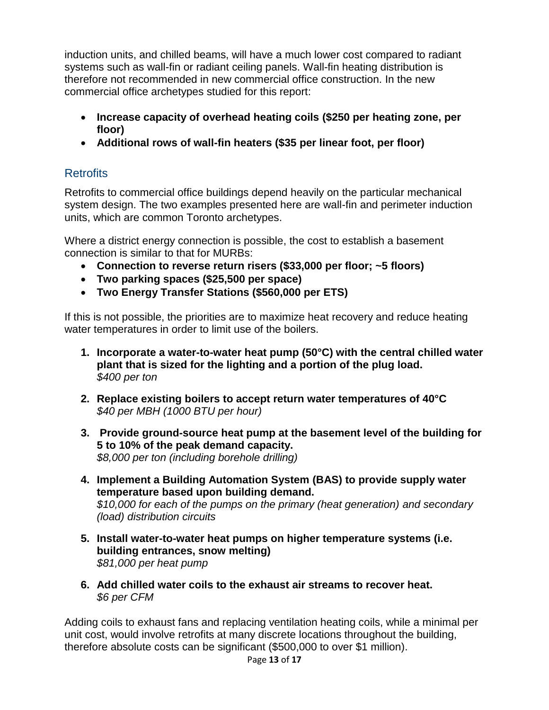induction units, and chilled beams, will have a much lower cost compared to radiant systems such as wall-fin or radiant ceiling panels. Wall-fin heating distribution is therefore not recommended in new commercial office construction. In the new commercial office archetypes studied for this report:

- **Increase capacity of overhead heating coils (\$250 per heating zone, per floor)**
- **Additional rows of wall-fin heaters (\$35 per linear foot, per floor)**

#### <span id="page-12-0"></span>**Retrofits**

Retrofits to commercial office buildings depend heavily on the particular mechanical system design. The two examples presented here are wall-fin and perimeter induction units, which are common Toronto archetypes.

Where a district energy connection is possible, the cost to establish a basement connection is similar to that for MURBs:

- **Connection to reverse return risers (\$33,000 per floor; ~5 floors)**
- **Two parking spaces (\$25,500 per space)**
- **Two Energy Transfer Stations (\$560,000 per ETS)**

If this is not possible, the priorities are to maximize heat recovery and reduce heating water temperatures in order to limit use of the boilers.

- **1. Incorporate a water-to-water heat pump (50°C) with the central chilled water plant that is sized for the lighting and a portion of the plug load.**  *\$400 per ton*
- **2. Replace existing boilers to accept return water temperatures of 40°C** *\$40 per MBH (1000 BTU per hour)*
- **3. Provide ground-source heat pump at the basement level of the building for 5 to 10% of the peak demand capacity.** *\$8,000 per ton (including borehole drilling)*
- **4. Implement a Building Automation System (BAS) to provide supply water temperature based upon building demand.**  *\$10,000 for each of the pumps on the primary (heat generation) and secondary (load) distribution circuits*
- **5. Install water-to-water heat pumps on higher temperature systems (i.e. building entrances, snow melting)** *\$81,000 per heat pump*
- **6. Add chilled water coils to the exhaust air streams to recover heat.** *\$6 per CFM*

Adding coils to exhaust fans and replacing ventilation heating coils, while a minimal per unit cost, would involve retrofits at many discrete locations throughout the building, therefore absolute costs can be significant (\$500,000 to over \$1 million).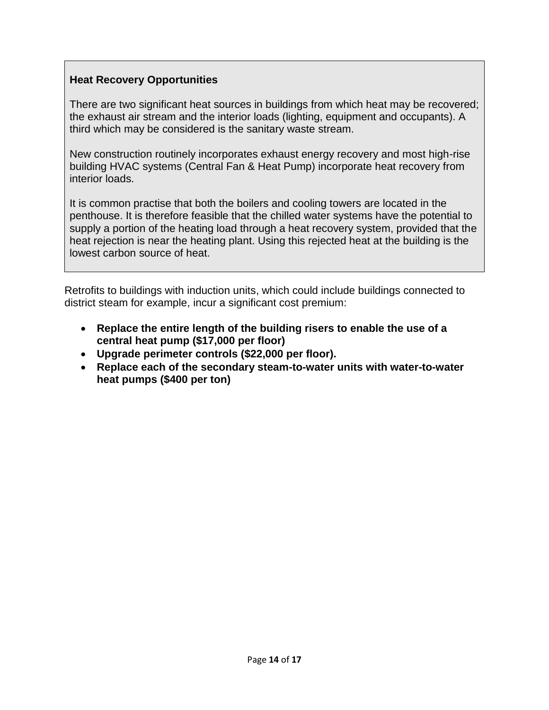#### **Heat Recovery Opportunities**

There are two significant heat sources in buildings from which heat may be recovered; the exhaust air stream and the interior loads (lighting, equipment and occupants). A third which may be considered is the sanitary waste stream.

New construction routinely incorporates exhaust energy recovery and most high-rise building HVAC systems (Central Fan & Heat Pump) incorporate heat recovery from interior loads.

It is common practise that both the boilers and cooling towers are located in the penthouse. It is therefore feasible that the chilled water systems have the potential to supply a portion of the heating load through a heat recovery system, provided that the heat rejection is near the heating plant. Using this rejected heat at the building is the lowest carbon source of heat.

Retrofits to buildings with induction units, which could include buildings connected to district steam for example, incur a significant cost premium:

- **Replace the entire length of the building risers to enable the use of a central heat pump (\$17,000 per floor)**
- **Upgrade perimeter controls (\$22,000 per floor).**
- **Replace each of the secondary steam-to-water units with water-to-water heat pumps (\$400 per ton)**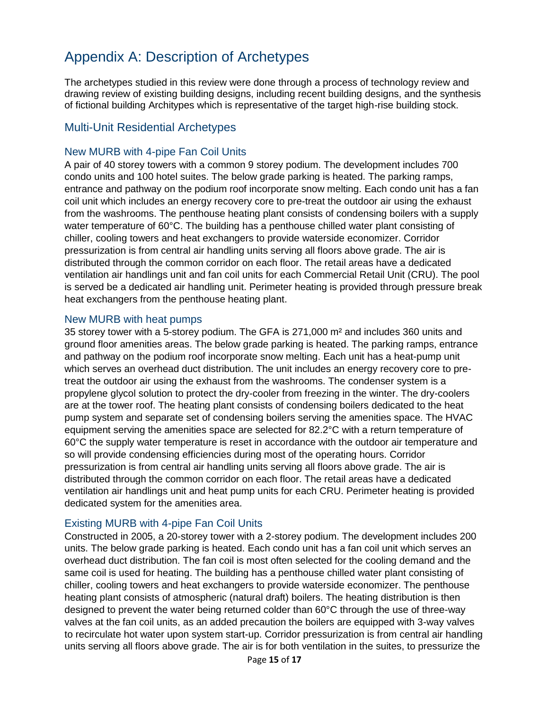## <span id="page-14-0"></span>Appendix A: Description of Archetypes

The archetypes studied in this review were done through a process of technology review and drawing review of existing building designs, including recent building designs, and the synthesis of fictional building Architypes which is representative of the target high-rise building stock.

#### <span id="page-14-1"></span>Multi-Unit Residential Archetypes

#### New MURB with 4-pipe Fan Coil Units

A pair of 40 storey towers with a common 9 storey podium. The development includes 700 condo units and 100 hotel suites. The below grade parking is heated. The parking ramps, entrance and pathway on the podium roof incorporate snow melting. Each condo unit has a fan coil unit which includes an energy recovery core to pre-treat the outdoor air using the exhaust from the washrooms. The penthouse heating plant consists of condensing boilers with a supply water temperature of 60°C. The building has a penthouse chilled water plant consisting of chiller, cooling towers and heat exchangers to provide waterside economizer. Corridor pressurization is from central air handling units serving all floors above grade. The air is distributed through the common corridor on each floor. The retail areas have a dedicated ventilation air handlings unit and fan coil units for each Commercial Retail Unit (CRU). The pool is served be a dedicated air handling unit. Perimeter heating is provided through pressure break heat exchangers from the penthouse heating plant.

#### New MURB with heat pumps

35 storey tower with a 5-storey podium. The GFA is 271,000 m² and includes 360 units and ground floor amenities areas. The below grade parking is heated. The parking ramps, entrance and pathway on the podium roof incorporate snow melting. Each unit has a heat-pump unit which serves an overhead duct distribution. The unit includes an energy recovery core to pretreat the outdoor air using the exhaust from the washrooms. The condenser system is a propylene glycol solution to protect the dry-cooler from freezing in the winter. The dry-coolers are at the tower roof. The heating plant consists of condensing boilers dedicated to the heat pump system and separate set of condensing boilers serving the amenities space. The HVAC equipment serving the amenities space are selected for 82.2°C with a return temperature of 60°C the supply water temperature is reset in accordance with the outdoor air temperature and so will provide condensing efficiencies during most of the operating hours. Corridor pressurization is from central air handling units serving all floors above grade. The air is distributed through the common corridor on each floor. The retail areas have a dedicated ventilation air handlings unit and heat pump units for each CRU. Perimeter heating is provided dedicated system for the amenities area.

#### Existing MURB with 4-pipe Fan Coil Units

Constructed in 2005, a 20-storey tower with a 2-storey podium. The development includes 200 units. The below grade parking is heated. Each condo unit has a fan coil unit which serves an overhead duct distribution. The fan coil is most often selected for the cooling demand and the same coil is used for heating. The building has a penthouse chilled water plant consisting of chiller, cooling towers and heat exchangers to provide waterside economizer. The penthouse heating plant consists of atmospheric (natural draft) boilers. The heating distribution is then designed to prevent the water being returned colder than 60°C through the use of three-way valves at the fan coil units, as an added precaution the boilers are equipped with 3-way valves to recirculate hot water upon system start-up. Corridor pressurization is from central air handling units serving all floors above grade. The air is for both ventilation in the suites, to pressurize the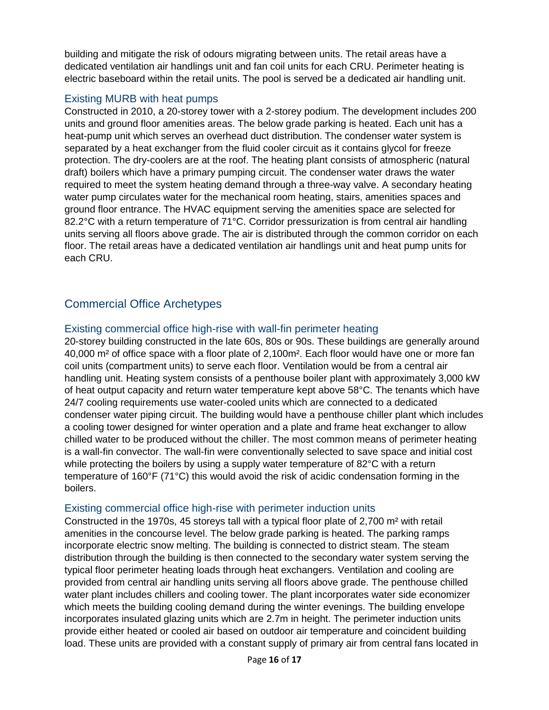building and mitigate the risk of odours migrating between units. The retail areas have a dedicated ventilation air handlings unit and fan coil units for each CRU. Perimeter heating is electric baseboard within the retail units. The pool is served be a dedicated air handling unit.

#### Existing MURB with heat pumps

Constructed in 2010, a 20-storey tower with a 2-storey podium. The development includes 200 units and ground floor amenities areas. The below grade parking is heated. Each unit has a heat-pump unit which serves an overhead duct distribution. The condenser water system is separated by a heat exchanger from the fluid cooler circuit as it contains glycol for freeze protection. The dry-coolers are at the roof. The heating plant consists of atmospheric (natural draft) boilers which have a primary pumping circuit. The condenser water draws the water required to meet the system heating demand through a three-way valve. A secondary heating water pump circulates water for the mechanical room heating, stairs, amenities spaces and ground floor entrance. The HVAC equipment serving the amenities space are selected for 82.2°C with a return temperature of 71°C. Corridor pressurization is from central air handling units serving all floors above grade. The air is distributed through the common corridor on each floor. The retail areas have a dedicated ventilation air handlings unit and heat pump units for each CRU.

#### <span id="page-15-0"></span>Commercial Office Archetypes

#### Existing commercial office high-rise with wall-fin perimeter heating

20-storey building constructed in the late 60s, 80s or 90s. These buildings are generally around 40,000 m² of office space with a floor plate of 2,100m². Each floor would have one or more fan coil units (compartment units) to serve each floor. Ventilation would be from a central air handling unit. Heating system consists of a penthouse boiler plant with approximately 3,000 kW of heat output capacity and return water temperature kept above 58°C. The tenants which have 24/7 cooling requirements use water-cooled units which are connected to a dedicated condenser water piping circuit. The building would have a penthouse chiller plant which includes a cooling tower designed for winter operation and a plate and frame heat exchanger to allow chilled water to be produced without the chiller. The most common means of perimeter heating is a wall-fin convector. The wall-fin were conventionally selected to save space and initial cost while protecting the boilers by using a supply water temperature of 82°C with a return temperature of 160°F (71°C) this would avoid the risk of acidic condensation forming in the boilers.

#### Existing commercial office high-rise with perimeter induction units

Constructed in the 1970s, 45 storeys tall with a typical floor plate of 2,700 m² with retail amenities in the concourse level. The below grade parking is heated. The parking ramps incorporate electric snow melting. The building is connected to district steam. The steam distribution through the building is then connected to the secondary water system serving the typical floor perimeter heating loads through heat exchangers. Ventilation and cooling are provided from central air handling units serving all floors above grade. The penthouse chilled water plant includes chillers and cooling tower. The plant incorporates water side economizer which meets the building cooling demand during the winter evenings. The building envelope incorporates insulated glazing units which are 2.7m in height. The perimeter induction units provide either heated or cooled air based on outdoor air temperature and coincident building load. These units are provided with a constant supply of primary air from central fans located in